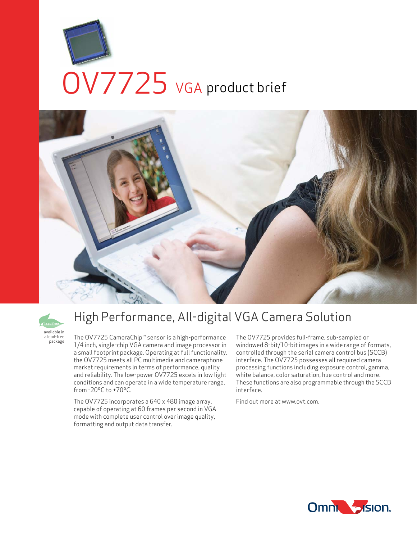





# High Performance, All-digital VGA Camera Solution

The OV7725 CameraChip™ sensor is a high-performance 1/4 inch, single-chip VGA camera and image processor in a small footprint package. Operating at full functionality, the OV7725 meets all PC multimedia and cameraphone market requirements in terms of performance, quality and reliability. The low-power OV7725 excels in low light conditions and can operate in a wide temperature range, from -20ºC to +70ºC.

The OV7725 incorporates a 640 x 480 image array, capable of operating at 60 frames per second in VGA mode with complete user control over image quality, formatting and output data transfer.

The OV7725 provides full-frame, sub-sampled or windowed 8-bit/10-bit images in a wide range of formats, controlled through the serial camera control bus (SCCB) interface. The OV7725 possesses all required camera processing functions including exposure control, gamma, white balance, color saturation, hue control and more. These functions are also programmable through the SCCB interface.

Find out more at www.ovt.com.